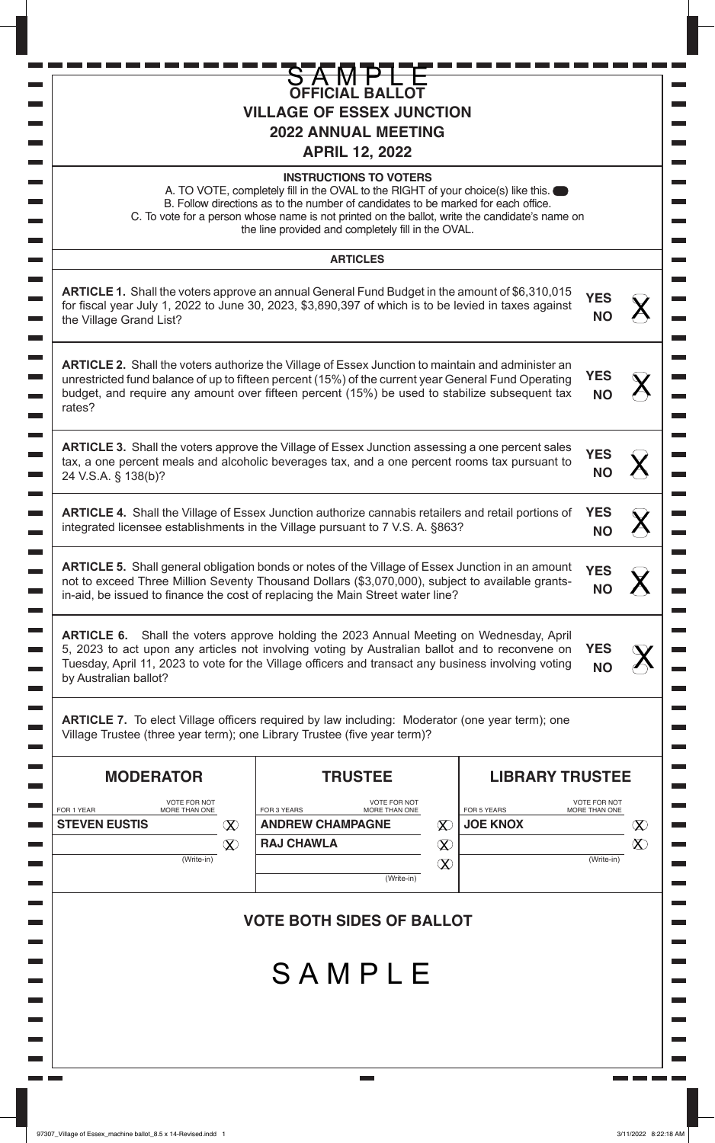| L<br>ı                                                  | Ľ | J                                                                            |
|---------------------------------------------------------|---|------------------------------------------------------------------------------|
| L<br>1                                                  |   |                                                                              |
| E<br>J,                                                 |   |                                                                              |
| D<br>q                                                  |   |                                                                              |
| D<br>J                                                  |   |                                                                              |
| E<br>q                                                  |   |                                                                              |
| E<br>J,                                                 |   |                                                                              |
| E<br>J.                                                 |   |                                                                              |
| Ľ<br>J,                                                 |   |                                                                              |
| E<br>J.                                                 |   |                                                                              |
| Ľ<br>J,                                                 |   |                                                                              |
| E<br>J.                                                 |   |                                                                              |
| Ľ<br>J,                                                 |   |                                                                              |
| E<br>J.                                                 |   |                                                                              |
| E<br>J,                                                 |   |                                                                              |
| E<br>J.                                                 |   | j                                                                            |
| E<br>J,                                                 |   | $\begin{array}{c} \begin{array}{c} \hline \end{array} \\ \hline \end{array}$ |
| E<br>J.                                                 |   |                                                                              |
| E<br>E,                                                 |   |                                                                              |
| E<br>I                                                  |   |                                                                              |
| D<br>I                                                  |   | $\ddot{\phantom{a}}$                                                         |
| D<br>I                                                  |   |                                                                              |
| E<br>I                                                  |   |                                                                              |
| I<br>I                                                  |   | ĺ                                                                            |
| Г<br>I                                                  |   |                                                                              |
| E<br>$\mathcal{L}_{\mathcal{A}}$                        |   |                                                                              |
| E<br>g                                                  |   | ļ                                                                            |
| $\overline{\phantom{a}}$<br>$\mathcal{L}_{\mathcal{A}}$ |   | ĺ                                                                            |
| Г<br>g                                                  |   |                                                                              |
| E<br>$\mathcal{L}_{\mathcal{A}}$                        |   |                                                                              |
| Г<br>g                                                  |   | ֦֝֟֟֓֝֬֝֬֝֬֝֬֝֓֬֝֬֝֓֬֝֬֝֬֝֬֝֬֝֬֝֬֝֬֝֬֝֬֝֓֬֝֬֝֬֝֬֝֬֝֬֝֬֝֬֝֬֝֬                 |
| <b>The Contract</b>                                     |   | I                                                                            |
| Г<br>g                                                  |   |                                                                              |
| $\sim 10$                                               |   |                                                                              |
| Г<br>÷,                                                 |   |                                                                              |
| $\sim 10$                                               |   |                                                                              |
| Г<br>÷,<br>$\sim 10$                                    |   |                                                                              |
| Г<br>÷,                                                 |   |                                                                              |
| $\sim 10$                                               |   | F                                                                            |
| Г<br>÷,                                                 |   |                                                                              |
| E<br>$\sim$                                             |   |                                                                              |
| Г<br>÷,                                                 |   |                                                                              |
| E<br>$\mathcal{L}_{\mathcal{A}}$                        |   |                                                                              |
| Г<br>÷,                                                 |   |                                                                              |
| E<br>÷,                                                 |   |                                                                              |
| Ľ<br>J.                                                 |   |                                                                              |
| E<br>÷,                                                 |   |                                                                              |
| Г<br>J.                                                 |   |                                                                              |
| E<br>÷,                                                 |   |                                                                              |
| $\sim 100$                                              |   |                                                                              |
| $\Box$<br>٦                                             |   |                                                                              |
| <b>Communication</b>                                    |   |                                                                              |

1 **in 1 in 1 in** 

a p a k - - - -

a p a ka

|                                                                          | <b>OFFICIAL BALLOT</b><br><b>VILLAGE OF ESSEX JUNCTION</b><br><b>2022 ANNUAL MEETING</b><br><b>APRIL 12, 2022</b>                                                                                                                                                                                                                                               |                                |                         |          |
|--------------------------------------------------------------------------|-----------------------------------------------------------------------------------------------------------------------------------------------------------------------------------------------------------------------------------------------------------------------------------------------------------------------------------------------------------------|--------------------------------|-------------------------|----------|
|                                                                          | <b>INSTRUCTIONS TO VOTERS</b><br>A. TO VOTE, completely fill in the OVAL to the RIGHT of your choice(s) like this.<br>B. Follow directions as to the number of candidates to be marked for each office.<br>C. To vote for a person whose name is not printed on the ballot, write the candidate's name on<br>the line provided and completely fill in the OVAL. |                                |                         |          |
|                                                                          | <b>ARTICLES</b>                                                                                                                                                                                                                                                                                                                                                 |                                |                         |          |
| the Village Grand List?                                                  | <b>ARTICLE 1.</b> Shall the voters approve an annual General Fund Budget in the amount of \$6,310,015<br>for fiscal year July 1, 2022 to June 30, 2023, \$3,890,397 of which is to be levied in taxes against                                                                                                                                                   |                                | <b>YES</b><br><b>NO</b> |          |
| rates?                                                                   | <b>ARTICLE 2.</b> Shall the voters authorize the Village of Essex Junction to maintain and administer an<br>unrestricted fund balance of up to fifteen percent (15%) of the current year General Fund Operating<br>budget, and require any amount over fifteen percent (15%) be used to stabilize subsequent tax                                                |                                | <b>YES</b><br><b>NO</b> |          |
| 24 V.S.A. § 138(b)?                                                      | <b>ARTICLE 3.</b> Shall the voters approve the Village of Essex Junction assessing a one percent sales<br>tax, a one percent meals and alcoholic beverages tax, and a one percent rooms tax pursuant to                                                                                                                                                         |                                | <b>YES</b><br><b>NO</b> |          |
|                                                                          | <b>ARTICLE 4.</b> Shall the Village of Essex Junction authorize cannabis retailers and retail portions of<br>integrated licensee establishments in the Village pursuant to 7 V.S. A. §863?                                                                                                                                                                      |                                | <b>YES</b><br><b>NO</b> |          |
|                                                                          | <b>ARTICLE 5.</b> Shall general obligation bonds or notes of the Village of Essex Junction in an amount<br>not to exceed Three Million Seventy Thousand Dollars (\$3,070,000), subject to available grants-<br>in-aid, be issued to finance the cost of replacing the Main Street water line?                                                                   |                                | <b>YES</b><br><b>NO</b> |          |
| <b>ARTICLE 6.</b><br>by Australian ballot?                               | Shall the voters approve holding the 2023 Annual Meeting on Wednesday, April<br>5, 2023 to act upon any articles not involving voting by Australian ballot and to reconvene on<br>Tuesday, April 11, 2023 to vote for the Village officers and transact any business involving voting                                                                           |                                | <b>YES</b><br><b>NO</b> |          |
| Village Trustee (three year term); one Library Trustee (five year term)? | <b>ARTICLE 7.</b> To elect Village officers required by law including: Moderator (one year term); one                                                                                                                                                                                                                                                           |                                |                         |          |
| <b>MODERATOR</b><br><b>VOTE FOR NOT</b>                                  | <b>TRUSTEE</b><br><b>VOTE FOR NOT</b>                                                                                                                                                                                                                                                                                                                           | <b>LIBRARY TRUSTEE</b>         | <b>VOTE FOR NOT</b>     |          |
| FOR 1 YEAR<br>MORE THAN ONE<br><b>STEVEN EUSTIS</b><br>$\infty$          | FOR 3 YEARS<br>MORE THAN ONE<br><b>ANDREW CHAMPAGNE</b><br>$\infty$                                                                                                                                                                                                                                                                                             | FOR 5 YEARS<br><b>JOE KNOX</b> | MORE THAN ONE           | $\infty$ |
| $\pmb{\mathbb{X}}$                                                       | <b>RAJ CHAWLA</b><br>$\infty$                                                                                                                                                                                                                                                                                                                                   |                                |                         | $\infty$ |
| (Write-in)                                                               | $\infty$<br>(Write-in)                                                                                                                                                                                                                                                                                                                                          |                                | (Write-in)              |          |
|                                                                          | <b>VOTE BOTH SIDES OF BALLOT</b><br>SAMPLE                                                                                                                                                                                                                                                                                                                      |                                |                         |          |
|                                                                          |                                                                                                                                                                                                                                                                                                                                                                 |                                |                         |          |

 $\mathcal{L}(\mathcal{A})$ 

a ka ٣Ē, J. <u>s ma r</u>

 $\mathcal{L}^{\text{max}}$  $\mathcal{L}^{\text{max}}$  $\mathcal{L}_{\text{max}}$ 

 $\mathcal{L}_{\text{max}}$  $\mathcal{L}^{\text{max}}$  $\mathcal{L}^{\text{max}}$ 

 $\mathcal{L}_{\mathcal{A}}$  $\overline{\phantom{0}}$  $\overline{\phantom{0}}$  $\overline{\phantom{0}}$  $\overline{\phantom{0}}$  $\overline{\phantom{0}}$ 

 $\overline{\phantom{0}}$  $\overline{\phantom{a}}$  $\overline{\phantom{0}}$  $\overline{\phantom{0}}$ 

 $\blacksquare$  $\overline{\phantom{0}}$  $\overline{\phantom{0}}$  $\blacksquare$ 

 $\blacksquare$  $\overline{\phantom{0}}$  $\blacksquare$  $\overline{\phantom{0}}$ 

 $\frac{1}{2}$ 

 $\overline{\phantom{0}}$  $\overline{\phantom{0}}$  $\overline{\phantom{0}}$ 

 $\mathcal{L}_{\mathcal{A}}$  $\overline{\phantom{0}}$ 

 $\overline{\phantom{a}}$  $\overline{\phantom{0}}$ 

 $\mathcal{L}^{\text{max}}$  $\overline{\phantom{0}}$ 

 $\mathcal{L}^{\text{max}}$ 

 $\mathcal{L}^{\text{max}}$ 

i.

 $\mathcal{L}(\mathcal{A})$  $\mathcal{L}^{\text{max}}$  $\mathcal{L}^{\text{max}}$  $\mathcal{L}^{\text{max}}$  $\mathcal{L}_{\text{max}}$ 

<u>s pa pa</u>

 $\overline{\phantom{a}}$